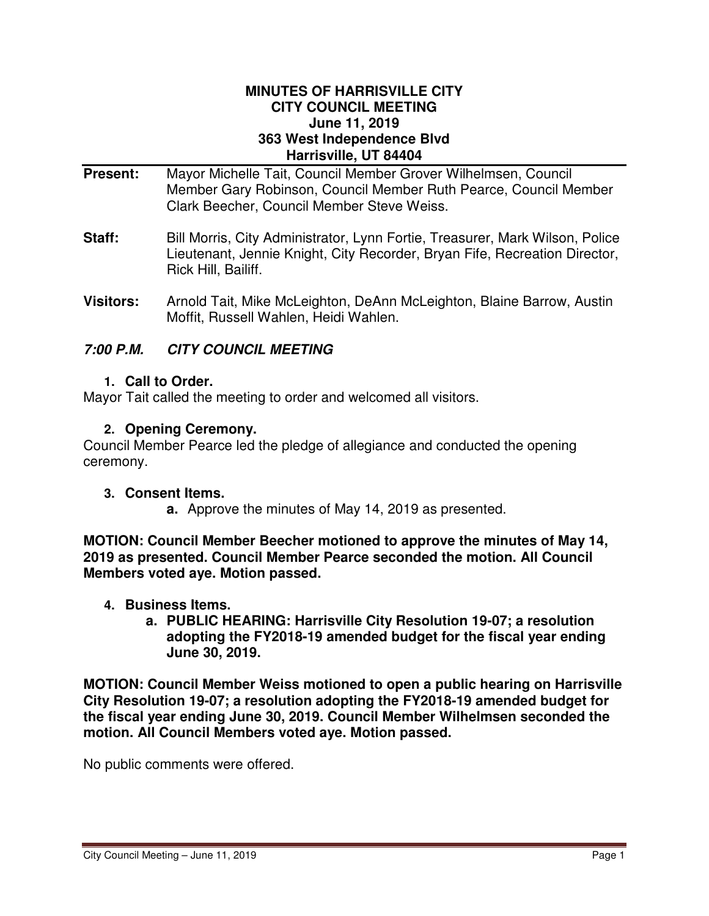#### **MINUTES OF HARRISVILLE CITY CITY COUNCIL MEETING June 11, 2019 363 West Independence Blvd Harrisville, UT 84404**

- **Present:** Mayor Michelle Tait, Council Member Grover Wilhelmsen, Council Member Gary Robinson, Council Member Ruth Pearce, Council Member Clark Beecher, Council Member Steve Weiss.
- **Staff:** Bill Morris, City Administrator, Lynn Fortie, Treasurer, Mark Wilson, Police Lieutenant, Jennie Knight, City Recorder, Bryan Fife, Recreation Director, Rick Hill, Bailiff.
- **Visitors:** Arnold Tait, Mike McLeighton, DeAnn McLeighton, Blaine Barrow, Austin Moffit, Russell Wahlen, Heidi Wahlen.

# **7:00 P.M. CITY COUNCIL MEETING**

### **1. Call to Order.**

Mayor Tait called the meeting to order and welcomed all visitors.

# **2. Opening Ceremony.**

Council Member Pearce led the pledge of allegiance and conducted the opening ceremony.

### **3. Consent Items.**

**a.** Approve the minutes of May 14, 2019 as presented.

**MOTION: Council Member Beecher motioned to approve the minutes of May 14, 2019 as presented. Council Member Pearce seconded the motion. All Council Members voted aye. Motion passed.** 

- **4. Business Items.**
	- **a. PUBLIC HEARING: Harrisville City Resolution 19-07; a resolution adopting the FY2018-19 amended budget for the fiscal year ending June 30, 2019.**

**MOTION: Council Member Weiss motioned to open a public hearing on Harrisville City Resolution 19-07; a resolution adopting the FY2018-19 amended budget for the fiscal year ending June 30, 2019. Council Member Wilhelmsen seconded the motion. All Council Members voted aye. Motion passed.** 

No public comments were offered.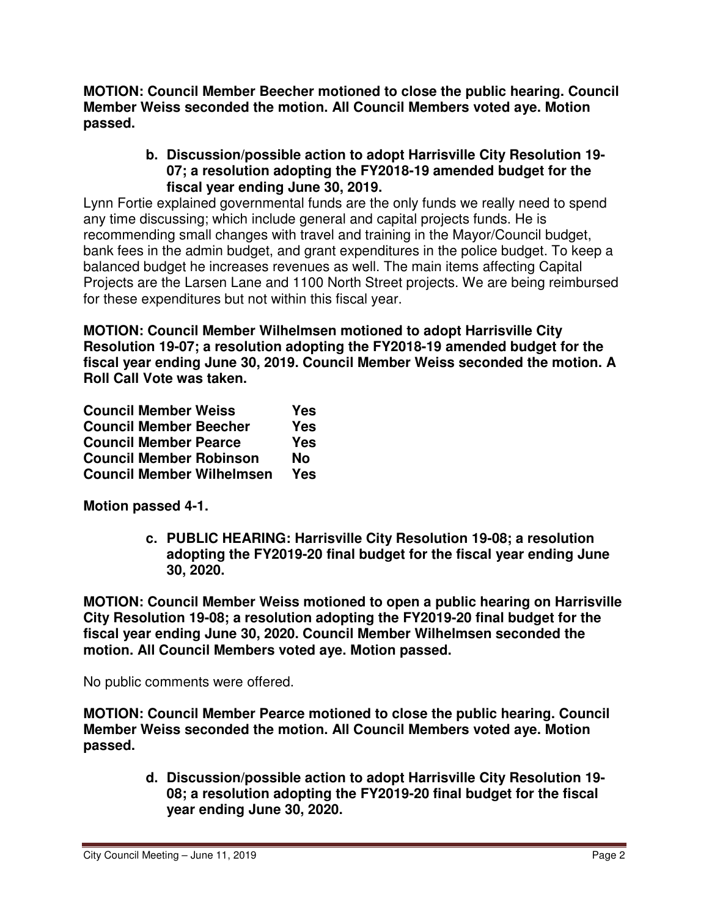**MOTION: Council Member Beecher motioned to close the public hearing. Council Member Weiss seconded the motion. All Council Members voted aye. Motion passed.** 

# **b. Discussion/possible action to adopt Harrisville City Resolution 19- 07; a resolution adopting the FY2018-19 amended budget for the fiscal year ending June 30, 2019.**

Lynn Fortie explained governmental funds are the only funds we really need to spend any time discussing; which include general and capital projects funds. He is recommending small changes with travel and training in the Mayor/Council budget, bank fees in the admin budget, and grant expenditures in the police budget. To keep a balanced budget he increases revenues as well. The main items affecting Capital Projects are the Larsen Lane and 1100 North Street projects. We are being reimbursed for these expenditures but not within this fiscal year.

**MOTION: Council Member Wilhelmsen motioned to adopt Harrisville City Resolution 19-07; a resolution adopting the FY2018-19 amended budget for the fiscal year ending June 30, 2019. Council Member Weiss seconded the motion. A Roll Call Vote was taken.** 

| <b>Council Member Weiss</b>      | Yes        |
|----------------------------------|------------|
| <b>Council Member Beecher</b>    | <b>Yes</b> |
| <b>Council Member Pearce</b>     | Yes        |
| <b>Council Member Robinson</b>   | <b>No</b>  |
| <b>Council Member Wilhelmsen</b> | <b>Yes</b> |

**Motion passed 4-1.** 

**c. PUBLIC HEARING: Harrisville City Resolution 19-08; a resolution adopting the FY2019-20 final budget for the fiscal year ending June 30, 2020.** 

**MOTION: Council Member Weiss motioned to open a public hearing on Harrisville City Resolution 19-08; a resolution adopting the FY2019-20 final budget for the fiscal year ending June 30, 2020. Council Member Wilhelmsen seconded the motion. All Council Members voted aye. Motion passed.** 

No public comments were offered.

**MOTION: Council Member Pearce motioned to close the public hearing. Council Member Weiss seconded the motion. All Council Members voted aye. Motion passed.** 

> **d. Discussion/possible action to adopt Harrisville City Resolution 19- 08; a resolution adopting the FY2019-20 final budget for the fiscal year ending June 30, 2020.**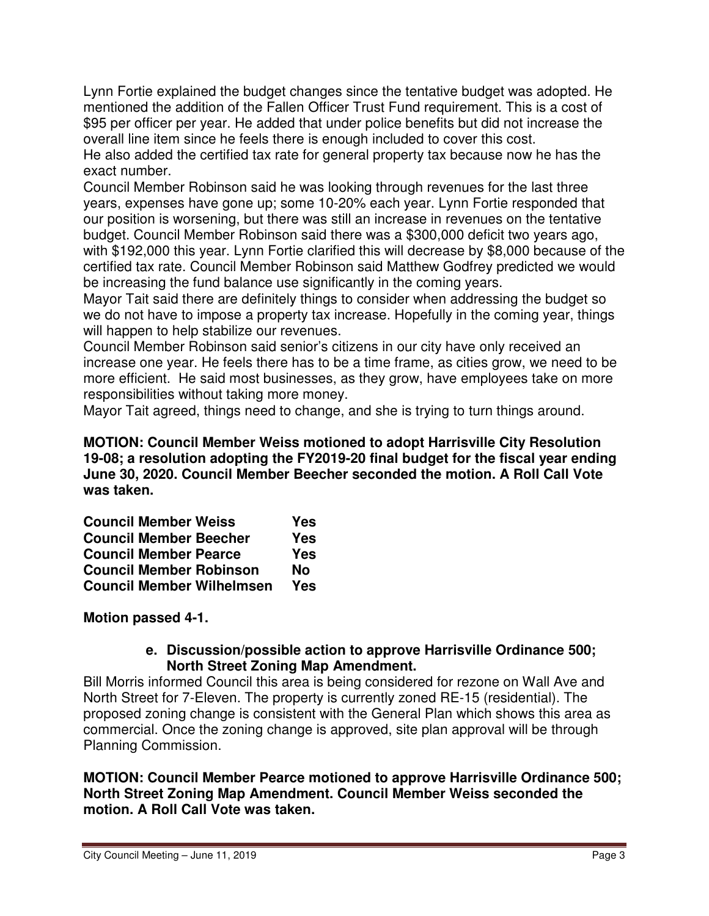Lynn Fortie explained the budget changes since the tentative budget was adopted. He mentioned the addition of the Fallen Officer Trust Fund requirement. This is a cost of \$95 per officer per year. He added that under police benefits but did not increase the overall line item since he feels there is enough included to cover this cost. He also added the certified tax rate for general property tax because now he has the

exact number.

Council Member Robinson said he was looking through revenues for the last three years, expenses have gone up; some 10-20% each year. Lynn Fortie responded that our position is worsening, but there was still an increase in revenues on the tentative budget. Council Member Robinson said there was a \$300,000 deficit two years ago, with \$192,000 this year. Lynn Fortie clarified this will decrease by \$8,000 because of the certified tax rate. Council Member Robinson said Matthew Godfrey predicted we would be increasing the fund balance use significantly in the coming years.

Mayor Tait said there are definitely things to consider when addressing the budget so we do not have to impose a property tax increase. Hopefully in the coming year, things will happen to help stabilize our revenues.

Council Member Robinson said senior's citizens in our city have only received an increase one year. He feels there has to be a time frame, as cities grow, we need to be more efficient. He said most businesses, as they grow, have employees take on more responsibilities without taking more money.

Mayor Tait agreed, things need to change, and she is trying to turn things around.

**MOTION: Council Member Weiss motioned to adopt Harrisville City Resolution 19-08; a resolution adopting the FY2019-20 final budget for the fiscal year ending June 30, 2020. Council Member Beecher seconded the motion. A Roll Call Vote was taken.** 

| <b>Council Member Weiss</b>      | Yes        |
|----------------------------------|------------|
| <b>Council Member Beecher</b>    | Yes        |
| <b>Council Member Pearce</b>     | <b>Yes</b> |
| <b>Council Member Robinson</b>   | Nο         |
| <b>Council Member Wilhelmsen</b> | Yes        |

### **Motion passed 4-1.**

#### **e. Discussion/possible action to approve Harrisville Ordinance 500; North Street Zoning Map Amendment.**

Bill Morris informed Council this area is being considered for rezone on Wall Ave and North Street for 7-Eleven. The property is currently zoned RE-15 (residential). The proposed zoning change is consistent with the General Plan which shows this area as commercial. Once the zoning change is approved, site plan approval will be through Planning Commission.

**MOTION: Council Member Pearce motioned to approve Harrisville Ordinance 500; North Street Zoning Map Amendment. Council Member Weiss seconded the motion. A Roll Call Vote was taken.**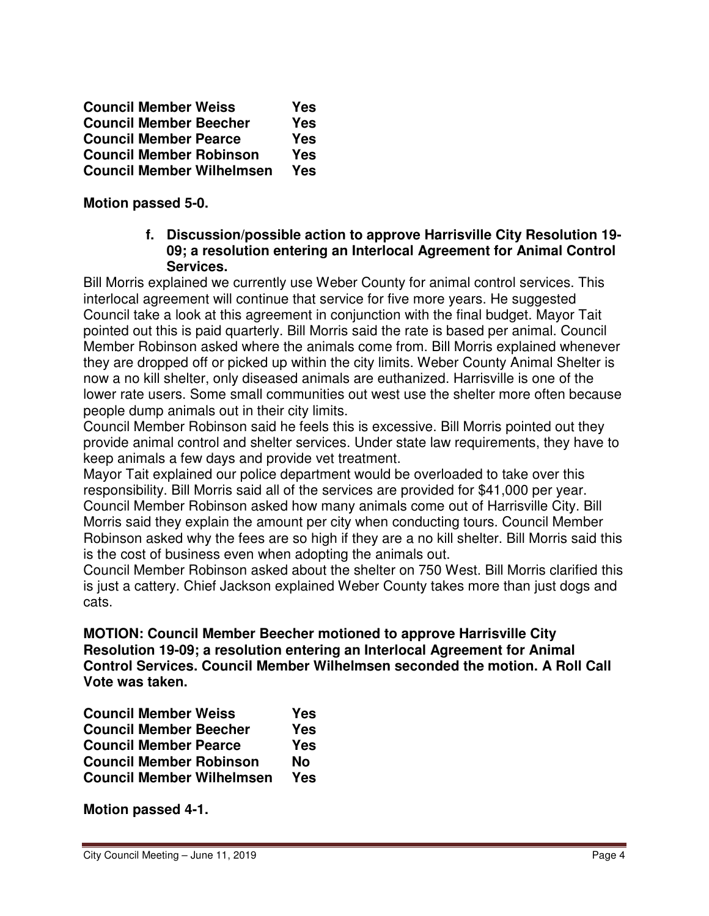| <b>Council Member Weiss</b>      | Yes |
|----------------------------------|-----|
| <b>Council Member Beecher</b>    | Yes |
| <b>Council Member Pearce</b>     | Yes |
| <b>Council Member Robinson</b>   | Yes |
| <b>Council Member Wilhelmsen</b> | Yes |

**Motion passed 5-0.** 

### **f. Discussion/possible action to approve Harrisville City Resolution 19- 09; a resolution entering an Interlocal Agreement for Animal Control Services.**

Bill Morris explained we currently use Weber County for animal control services. This interlocal agreement will continue that service for five more years. He suggested Council take a look at this agreement in conjunction with the final budget. Mayor Tait pointed out this is paid quarterly. Bill Morris said the rate is based per animal. Council Member Robinson asked where the animals come from. Bill Morris explained whenever they are dropped off or picked up within the city limits. Weber County Animal Shelter is now a no kill shelter, only diseased animals are euthanized. Harrisville is one of the lower rate users. Some small communities out west use the shelter more often because people dump animals out in their city limits.

Council Member Robinson said he feels this is excessive. Bill Morris pointed out they provide animal control and shelter services. Under state law requirements, they have to keep animals a few days and provide vet treatment.

Mayor Tait explained our police department would be overloaded to take over this responsibility. Bill Morris said all of the services are provided for \$41,000 per year. Council Member Robinson asked how many animals come out of Harrisville City. Bill Morris said they explain the amount per city when conducting tours. Council Member Robinson asked why the fees are so high if they are a no kill shelter. Bill Morris said this is the cost of business even when adopting the animals out.

Council Member Robinson asked about the shelter on 750 West. Bill Morris clarified this is just a cattery. Chief Jackson explained Weber County takes more than just dogs and cats.

**MOTION: Council Member Beecher motioned to approve Harrisville City Resolution 19-09; a resolution entering an Interlocal Agreement for Animal Control Services. Council Member Wilhelmsen seconded the motion. A Roll Call Vote was taken.** 

| <b>Council Member Weiss</b>      | Yes        |
|----------------------------------|------------|
| <b>Council Member Beecher</b>    | <b>Yes</b> |
| <b>Council Member Pearce</b>     | Yes        |
| <b>Council Member Robinson</b>   | Nο         |
| <b>Council Member Wilhelmsen</b> | Yes        |

**Motion passed 4-1.**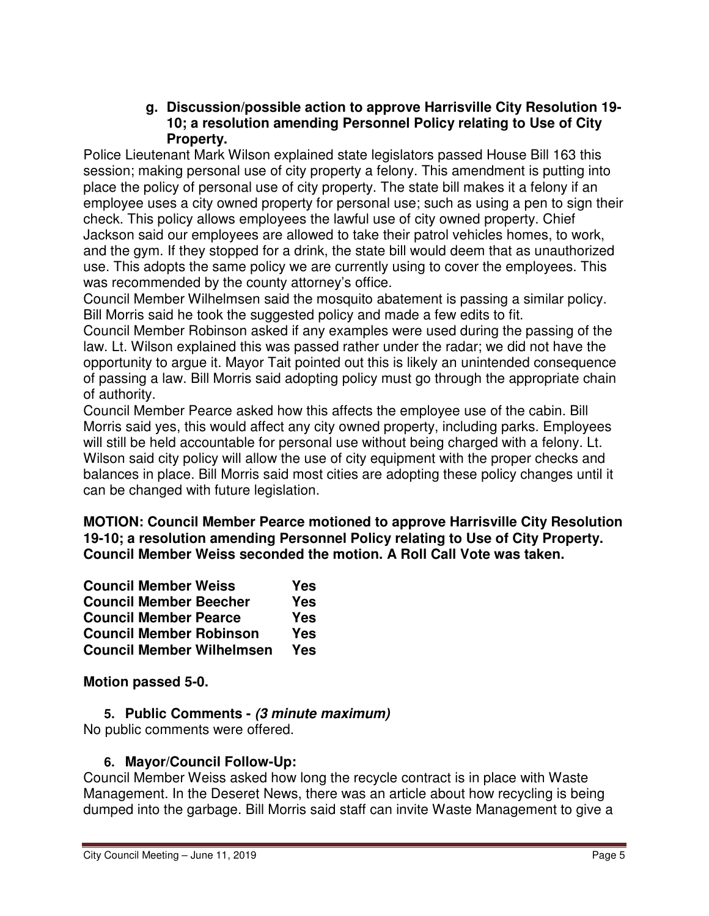### **g. Discussion/possible action to approve Harrisville City Resolution 19- 10; a resolution amending Personnel Policy relating to Use of City Property.**

Police Lieutenant Mark Wilson explained state legislators passed House Bill 163 this session; making personal use of city property a felony. This amendment is putting into place the policy of personal use of city property. The state bill makes it a felony if an employee uses a city owned property for personal use; such as using a pen to sign their check. This policy allows employees the lawful use of city owned property. Chief Jackson said our employees are allowed to take their patrol vehicles homes, to work, and the gym. If they stopped for a drink, the state bill would deem that as unauthorized use. This adopts the same policy we are currently using to cover the employees. This was recommended by the county attorney's office.

Council Member Wilhelmsen said the mosquito abatement is passing a similar policy. Bill Morris said he took the suggested policy and made a few edits to fit.

Council Member Robinson asked if any examples were used during the passing of the law. Lt. Wilson explained this was passed rather under the radar; we did not have the opportunity to argue it. Mayor Tait pointed out this is likely an unintended consequence of passing a law. Bill Morris said adopting policy must go through the appropriate chain of authority.

Council Member Pearce asked how this affects the employee use of the cabin. Bill Morris said yes, this would affect any city owned property, including parks. Employees will still be held accountable for personal use without being charged with a felony. Lt. Wilson said city policy will allow the use of city equipment with the proper checks and balances in place. Bill Morris said most cities are adopting these policy changes until it can be changed with future legislation.

**MOTION: Council Member Pearce motioned to approve Harrisville City Resolution 19-10; a resolution amending Personnel Policy relating to Use of City Property. Council Member Weiss seconded the motion. A Roll Call Vote was taken.** 

| <b>Council Member Weiss</b>      | Yes        |
|----------------------------------|------------|
| <b>Council Member Beecher</b>    | <b>Yes</b> |
| <b>Council Member Pearce</b>     | <b>Yes</b> |
| <b>Council Member Robinson</b>   | Yes        |
| <b>Council Member Wilhelmsen</b> | Yes        |

**Motion passed 5-0.** 

**5. Public Comments - (3 minute maximum)** No public comments were offered.

# **6. Mayor/Council Follow-Up:**

Council Member Weiss asked how long the recycle contract is in place with Waste Management. In the Deseret News, there was an article about how recycling is being dumped into the garbage. Bill Morris said staff can invite Waste Management to give a